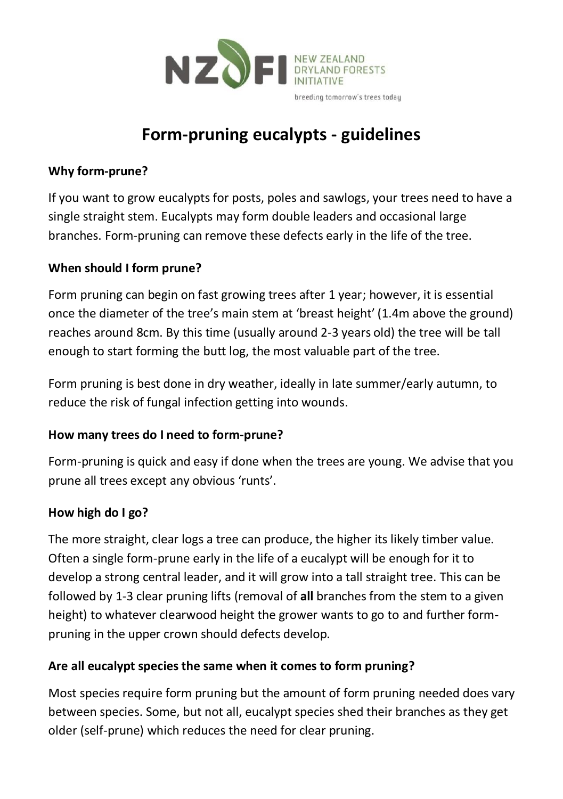

# **Form-pruning eucalypts - guidelines**

## **Why form-prune?**

If you want to grow eucalypts for posts, poles and sawlogs, your trees need to have a single straight stem. Eucalypts may form double leaders and occasional large branches. Form-pruning can remove these defects early in the life of the tree.

#### **When should I form prune?**

Form pruning can begin on fast growing trees after 1 year; however, it is essential once the diameter of the tree's main stem at 'breast height' (1.4m above the ground) reaches around 8cm. By this time (usually around 2-3 years old) the tree will be tall enough to start forming the butt log, the most valuable part of the tree.

Form pruning is best done in dry weather, ideally in late summer/early autumn, to reduce the risk of fungal infection getting into wounds.

#### **How many trees do I need to form-prune?**

Form-pruning is quick and easy if done when the trees are young. We advise that you prune all trees except any obvious 'runts'.

#### **How high do I go?**

The more straight, clear logs a tree can produce, the higher its likely timber value. Often a single form-prune early in the life of a eucalypt will be enough for it to develop a strong central leader, and it will grow into a tall straight tree. This can be followed by 1-3 clear pruning lifts (removal of **all** branches from the stem to a given height) to whatever clearwood height the grower wants to go to and further formpruning in the upper crown should defects develop.

## **Are all eucalypt species the same when it comes to form pruning?**

Most species require form pruning but the amount of form pruning needed does vary between species. Some, but not all, eucalypt species shed their branches as they get older (self-prune) which reduces the need for clear pruning.